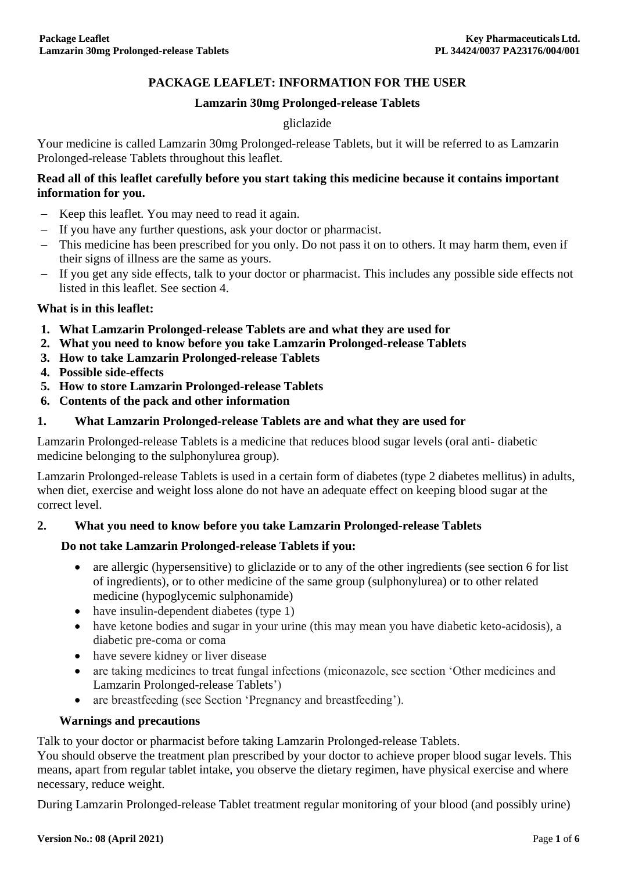# **PACKAGE LEAFLET: INFORMATION FOR THE USER**

#### **Lamzarin 30mg Prolonged-release Tablets**

#### gliclazide

Your medicine is called Lamzarin 30mg Prolonged-release Tablets, but it will be referred to as Lamzarin Prolonged-release Tablets throughout this leaflet.

#### **Read all of this leaflet carefully before you start taking this medicine because it contains important information for you.**

- Keep this leaflet. You may need to read it again.
- If you have any further questions, ask your doctor or pharmacist.
- This medicine has been prescribed for you only. Do not pass it on to others. It may harm them, even if their signs of illness are the same as yours.
- If you get any side effects, talk to your doctor or pharmacist. This includes any possible side effects not listed in this leaflet. See section 4.

#### **What is in this leaflet:**

- **1. What Lamzarin Prolonged-release Tablets are and what they are used for**
- **2. What you need to know before you take Lamzarin Prolonged-release Tablets**
- **3. How to take Lamzarin Prolonged-release Tablets**
- **4. Possible side-effects**
- **5. How to store Lamzarin Prolonged-release Tablets**
- **6. Contents of the pack and other information**

## **1. What Lamzarin Prolonged-release Tablets are and what they are used for**

Lamzarin Prolonged-release Tablets is a medicine that reduces blood sugar levels (oral anti- diabetic medicine belonging to the sulphonylurea group).

Lamzarin Prolonged-release Tablets is used in a certain form of diabetes (type 2 diabetes mellitus) in adults, when diet, exercise and weight loss alone do not have an adequate effect on keeping blood sugar at the correct level.

## **2. What you need to know before you take Lamzarin Prolonged-release Tablets**

## **Do not take Lamzarin Prolonged-release Tablets if you:**

- are allergic (hypersensitive) to gliclazide or to any of the other ingredients (see section 6 for list of ingredients), or to other medicine of the same group (sulphonylurea) or to other related medicine (hypoglycemic sulphonamide)
- have insulin-dependent diabetes (type 1)
- have ketone bodies and sugar in your urine (this may mean you have diabetic keto-acidosis), a diabetic pre-coma or coma
- have severe kidney or liver disease
- are taking medicines to treat fungal infections (miconazole, see section 'Other medicines and Lamzarin Prolonged-release Tablets')
- are breastfeeding (see Section 'Pregnancy and breastfeeding').

#### **Warnings and precautions**

Talk to your doctor or pharmacist before taking Lamzarin Prolonged-release Tablets.

You should observe the treatment plan prescribed by your doctor to achieve proper blood sugar levels. This means, apart from regular tablet intake, you observe the dietary regimen, have physical exercise and where necessary, reduce weight.

During Lamzarin Prolonged-release Tablet treatment regular monitoring of your blood (and possibly urine)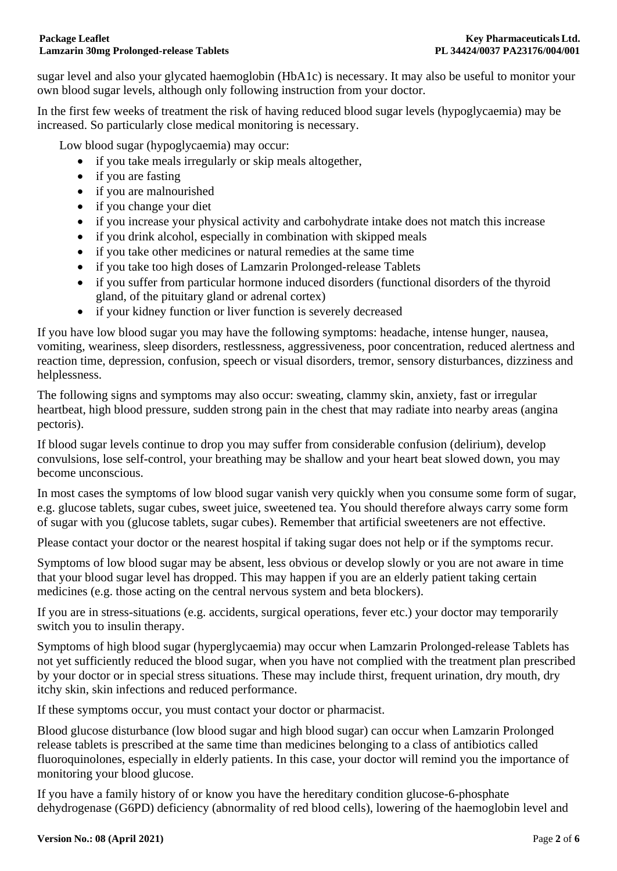sugar level and also your glycated haemoglobin (HbA1c) is necessary. It may also be useful to monitor your own blood sugar levels, although only following instruction from your doctor.

In the first few weeks of treatment the risk of having reduced blood sugar levels (hypoglycaemia) may be increased. So particularly close medical monitoring is necessary.

Low blood sugar (hypoglycaemia) may occur:

- if you take meals irregularly or skip meals altogether,
- if you are fasting
- if you are malnourished
- if you change your diet
- if you increase your physical activity and carbohydrate intake does not match this increase
- if you drink alcohol, especially in combination with skipped meals
- if you take other medicines or natural remedies at the same time
- if you take too high doses of Lamzarin Prolonged-release Tablets
- if you suffer from particular hormone induced disorders (functional disorders of the thyroid gland, of the pituitary gland or adrenal cortex)
- if your kidney function or liver function is severely decreased

If you have low blood sugar you may have the following symptoms: headache, intense hunger, nausea, vomiting, weariness, sleep disorders, restlessness, aggressiveness, poor concentration, reduced alertness and reaction time, depression, confusion, speech or visual disorders, tremor, sensory disturbances, dizziness and helplessness.

The following signs and symptoms may also occur: sweating, clammy skin, anxiety, fast or irregular heartbeat, high blood pressure, sudden strong pain in the chest that may radiate into nearby areas (angina pectoris).

If blood sugar levels continue to drop you may suffer from considerable confusion (delirium), develop convulsions, lose self-control, your breathing may be shallow and your heart beat slowed down, you may become unconscious.

In most cases the symptoms of low blood sugar vanish very quickly when you consume some form of sugar, e.g. glucose tablets, sugar cubes, sweet juice, sweetened tea. You should therefore always carry some form of sugar with you (glucose tablets, sugar cubes). Remember that artificial sweeteners are not effective.

Please contact your doctor or the nearest hospital if taking sugar does not help or if the symptoms recur.

Symptoms of low blood sugar may be absent, less obvious or develop slowly or you are not aware in time that your blood sugar level has dropped. This may happen if you are an elderly patient taking certain medicines (e.g. those acting on the central nervous system and beta blockers).

If you are in stress-situations (e.g. accidents, surgical operations, fever etc.) your doctor may temporarily switch you to insulin therapy.

Symptoms of high blood sugar (hyperglycaemia) may occur when Lamzarin Prolonged-release Tablets has not yet sufficiently reduced the blood sugar, when you have not complied with the treatment plan prescribed by your doctor or in special stress situations. These may include thirst, frequent urination, dry mouth, dry itchy skin, skin infections and reduced performance.

If these symptoms occur, you must contact your doctor or pharmacist.

Blood glucose disturbance (low blood sugar and high blood sugar) can occur when Lamzarin Prolonged release tablets is prescribed at the same time than medicines belonging to a class of antibiotics called fluoroquinolones, especially in elderly patients. In this case, your doctor will remind you the importance of monitoring your blood glucose.

If you have a family history of or know you have the hereditary condition glucose-6-phosphate dehydrogenase (G6PD) deficiency (abnormality of red blood cells), lowering of the haemoglobin level and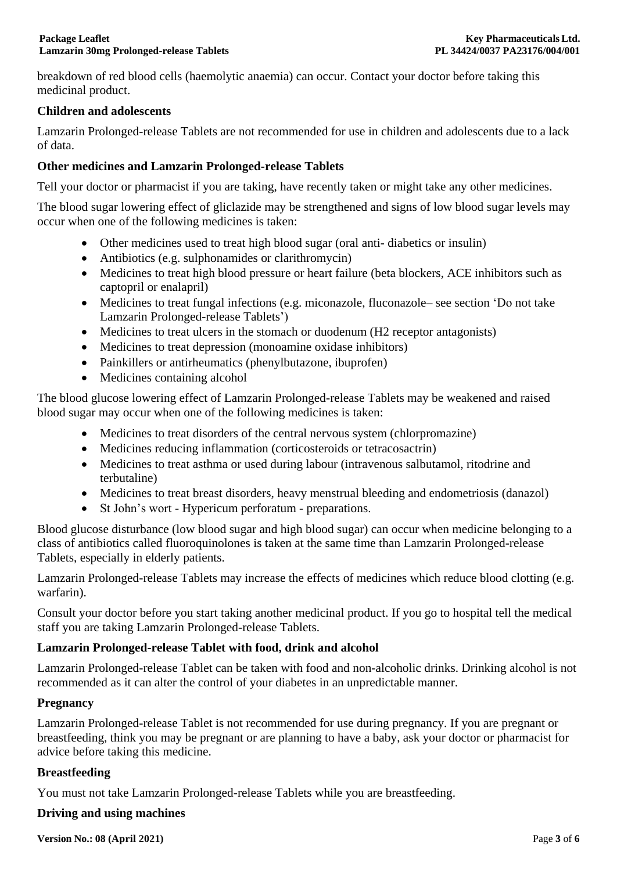breakdown of red blood cells (haemolytic anaemia) can occur. Contact your doctor before taking this medicinal product.

## **Children and adolescents**

Lamzarin Prolonged-release Tablets are not recommended for use in children and adolescents due to a lack of data.

# **Other medicines and Lamzarin Prolonged-release Tablets**

Tell your doctor or pharmacist if you are taking, have recently taken or might take any other medicines.

The blood sugar lowering effect of gliclazide may be strengthened and signs of low blood sugar levels may occur when one of the following medicines is taken:

- Other medicines used to treat high blood sugar (oral anti- diabetics or insulin)
- Antibiotics (e.g. sulphonamides or clarithromycin)
- Medicines to treat high blood pressure or heart failure (beta blockers, ACE inhibitors such as captopril or enalapril)
- Medicines to treat fungal infections (e.g. miconazole, fluconazole– see section 'Do not take Lamzarin Prolonged-release Tablets')
- Medicines to treat ulcers in the stomach or duodenum (H2 receptor antagonists)
- Medicines to treat depression (monoamine oxidase inhibitors)
- Painkillers or antirheumatics (phenylbutazone, ibuprofen)
- Medicines containing alcohol

The blood glucose lowering effect of Lamzarin Prolonged-release Tablets may be weakened and raised blood sugar may occur when one of the following medicines is taken:

- Medicines to treat disorders of the central nervous system (chlorpromazine)
- Medicines reducing inflammation (corticosteroids or tetracosactrin)
- Medicines to treat asthma or used during labour (intravenous salbutamol, ritodrine and terbutaline)
- Medicines to treat breast disorders, heavy menstrual bleeding and endometriosis (danazol)
- St John's wort Hypericum perforatum preparations.

Blood glucose disturbance (low blood sugar and high blood sugar) can occur when medicine belonging to a class of antibiotics called fluoroquinolones is taken at the same time than Lamzarin Prolonged-release Tablets, especially in elderly patients.

Lamzarin Prolonged-release Tablets may increase the effects of medicines which reduce blood clotting (e.g. warfarin).

Consult your doctor before you start taking another medicinal product. If you go to hospital tell the medical staff you are taking Lamzarin Prolonged-release Tablets.

## **Lamzarin Prolonged-release Tablet with food, drink and alcohol**

Lamzarin Prolonged-release Tablet can be taken with food and non-alcoholic drinks. Drinking alcohol is not recommended as it can alter the control of your diabetes in an unpredictable manner.

## **Pregnancy**

Lamzarin Prolonged-release Tablet is not recommended for use during pregnancy. If you are pregnant or breastfeeding, think you may be pregnant or are planning to have a baby, ask your doctor or pharmacist for advice before taking this medicine.

## **Breastfeeding**

You must not take Lamzarin Prolonged-release Tablets while you are breastfeeding.

## **Driving and using machines**

**Version No.: 08 (April 2021)** Page **3** of **6**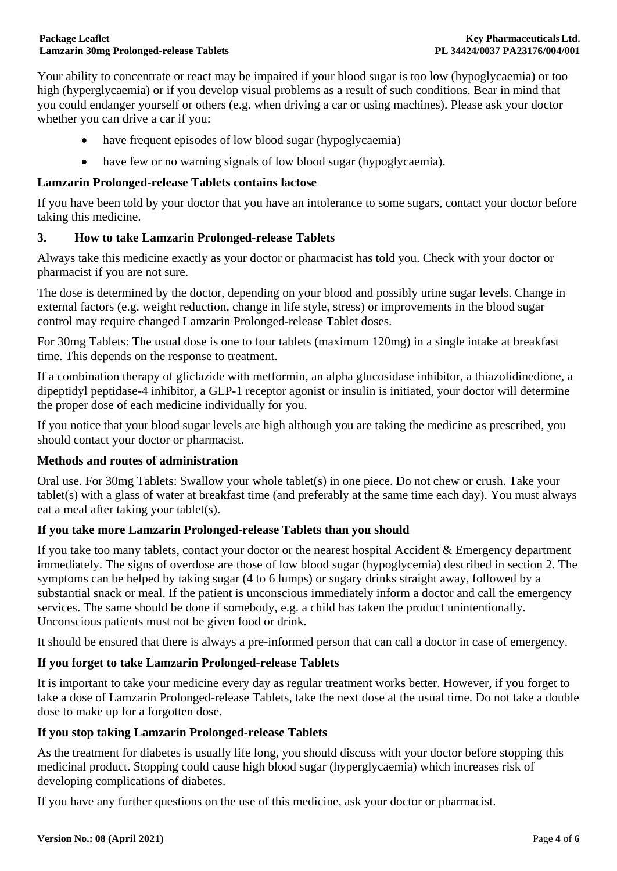Your ability to concentrate or react may be impaired if your blood sugar is too low (hypoglycaemia) or too high (hyperglycaemia) or if you develop visual problems as a result of such conditions. Bear in mind that you could endanger yourself or others (e.g. when driving a car or using machines). Please ask your doctor whether you can drive a car if you:

- have frequent episodes of low blood sugar (hypoglycaemia)
- have few or no warning signals of low blood sugar (hypoglycaemia).

## **Lamzarin Prolonged-release Tablets contains lactose**

If you have been told by your doctor that you have an intolerance to some sugars, contact your doctor before taking this medicine.

## **3. How to take Lamzarin Prolonged-release Tablets**

Always take this medicine exactly as your doctor or pharmacist has told you. Check with your doctor or pharmacist if you are not sure.

The dose is determined by the doctor, depending on your blood and possibly urine sugar levels. Change in external factors (e.g. weight reduction, change in life style, stress) or improvements in the blood sugar control may require changed Lamzarin Prolonged-release Tablet doses.

For 30mg Tablets: The usual dose is one to four tablets (maximum 120mg) in a single intake at breakfast time. This depends on the response to treatment.

If a combination therapy of gliclazide with metformin, an alpha glucosidase inhibitor, a thiazolidinedione, a dipeptidyl peptidase-4 inhibitor, a GLP-1 receptor agonist or insulin is initiated, your doctor will determine the proper dose of each medicine individually for you.

If you notice that your blood sugar levels are high although you are taking the medicine as prescribed, you should contact your doctor or pharmacist.

## **Methods and routes of administration**

Oral use. For 30mg Tablets: Swallow your whole tablet(s) in one piece. Do not chew or crush. Take your tablet(s) with a glass of water at breakfast time (and preferably at the same time each day). You must always eat a meal after taking your tablet(s).

## **If you take more Lamzarin Prolonged-release Tablets than you should**

If you take too many tablets, contact your doctor or the nearest hospital Accident  $\&$  Emergency department immediately. The signs of overdose are those of low blood sugar (hypoglycemia) described in section 2. The symptoms can be helped by taking sugar (4 to 6 lumps) or sugary drinks straight away, followed by a substantial snack or meal. If the patient is unconscious immediately inform a doctor and call the emergency services. The same should be done if somebody, e.g. a child has taken the product unintentionally. Unconscious patients must not be given food or drink.

It should be ensured that there is always a pre-informed person that can call a doctor in case of emergency.

## **If you forget to take Lamzarin Prolonged-release Tablets**

It is important to take your medicine every day as regular treatment works better. However, if you forget to take a dose of Lamzarin Prolonged-release Tablets, take the next dose at the usual time. Do not take a double dose to make up for a forgotten dose.

## **If you stop taking Lamzarin Prolonged-release Tablets**

As the treatment for diabetes is usually life long, you should discuss with your doctor before stopping this medicinal product. Stopping could cause high blood sugar (hyperglycaemia) which increases risk of developing complications of diabetes.

If you have any further questions on the use of this medicine, ask your doctor or pharmacist.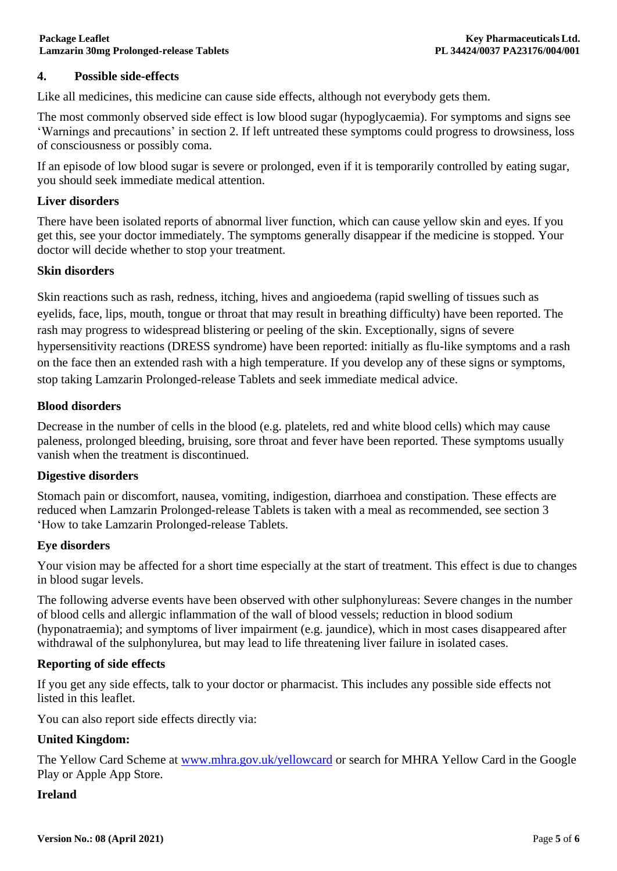# **4. Possible side-effects**

Like all medicines, this medicine can cause side effects, although not everybody gets them.

The most commonly observed side effect is low blood sugar (hypoglycaemia). For symptoms and signs see 'Warnings and precautions' in section 2. If left untreated these symptoms could progress to drowsiness, loss of consciousness or possibly coma.

If an episode of low blood sugar is severe or prolonged, even if it is temporarily controlled by eating sugar, you should seek immediate medical attention.

#### **Liver disorders**

There have been isolated reports of abnormal liver function, which can cause yellow skin and eyes. If you get this, see your doctor immediately. The symptoms generally disappear if the medicine is stopped. Your doctor will decide whether to stop your treatment.

#### **Skin disorders**

Skin reactions such as rash, redness, itching, hives and angioedema (rapid swelling of tissues such as eyelids, face, lips, mouth, tongue or throat that may result in breathing difficulty) have been reported. The rash may progress to widespread blistering or peeling of the skin. Exceptionally, signs of severe hypersensitivity reactions (DRESS syndrome) have been reported: initially as flu-like symptoms and a rash on the face then an extended rash with a high temperature. If you develop any of these signs or symptoms, stop taking Lamzarin Prolonged-release Tablets and seek immediate medical advice.

## **Blood disorders**

Decrease in the number of cells in the blood (e.g. platelets, red and white blood cells) which may cause paleness, prolonged bleeding, bruising, sore throat and fever have been reported. These symptoms usually vanish when the treatment is discontinued.

#### **Digestive disorders**

Stomach pain or discomfort, nausea, vomiting, indigestion, diarrhoea and constipation. These effects are reduced when Lamzarin Prolonged-release Tablets is taken with a meal as recommended, see section 3 'How to take Lamzarin Prolonged-release Tablets.

#### **Eye disorders**

Your vision may be affected for a short time especially at the start of treatment. This effect is due to changes in blood sugar levels.

The following adverse events have been observed with other sulphonylureas: Severe changes in the number of blood cells and allergic inflammation of the wall of blood vessels; reduction in blood sodium (hyponatraemia); and symptoms of liver impairment (e.g. jaundice), which in most cases disappeared after withdrawal of the sulphonylurea, but may lead to life threatening liver failure in isolated cases.

#### **Reporting of side effects**

If you get any side effects, talk to your doctor or pharmacist. This includes any possible side effects not listed in this leaflet.

You can also report side effects directly via:

## **United Kingdom:**

The Yellow Card Scheme at [www.mhra.gov.uk/yellowcard](http://www.mhra.gov.uk/yellowcard) or search for MHRA Yellow Card in the Google Play or Apple App Store.

#### **Ireland**